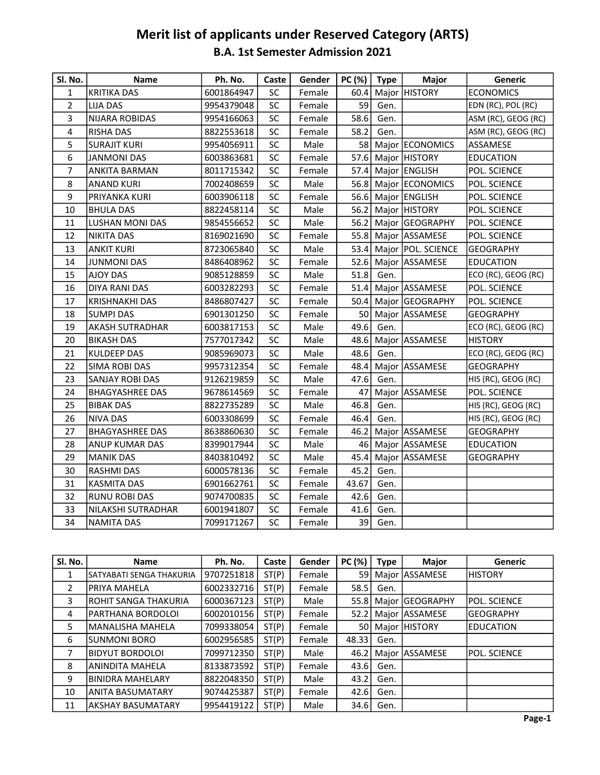## Merit list of applicants under Reserved Category (ARTS) B.A. 1st Semester Admission 2021

| Sl. No.      | <b>Name</b>            | Ph. No.    | Caste     | Gender | PC(%) | Type | Major                   | <b>Generic</b>      |
|--------------|------------------------|------------|-----------|--------|-------|------|-------------------------|---------------------|
| $\mathbf{1}$ | <b>KRITIKA DAS</b>     | 6001864947 | SC        | Female | 60.4  |      | Major HISTORY           | <b>ECONOMICS</b>    |
| 2            | <b>LIJA DAS</b>        | 9954379048 | SC        | Female | 59    | Gen. |                         | EDN (RC), POL (RC)  |
| 3            | <b>NIJARA ROBIDAS</b>  | 9954166063 | SC        | Female | 58.6  | Gen. |                         | ASM (RC), GEOG (RC) |
| 4            | <b>RISHA DAS</b>       | 8822553618 | <b>SC</b> | Female | 58.2  | Gen. |                         | ASM (RC), GEOG (RC) |
| 5            | <b>SURAJIT KURI</b>    | 9954056911 | SC        | Male   |       |      | 58 Major ECONOMICS      | ASSAMESE            |
| 6            | <b>JANMONI DAS</b>     | 6003863681 | SC        | Female |       |      | 57.6 Major HISTORY      | <b>EDUCATION</b>    |
| 7            | <b>ANKITA BARMAN</b>   | 8011715342 | SC        | Female |       |      | 57.4 Major ENGLISH      | POL. SCIENCE        |
| 8            | <b>ANAND KURI</b>      | 7002408659 | SC        | Male   |       |      | 56.8 Major ECONOMICS    | POL. SCIENCE        |
| 9            | PRIYANKA KURI          | 6003906118 | SC        | Female |       |      | 56.6 Major ENGLISH      | POL. SCIENCE        |
| 10           | <b>BHULA DAS</b>       | 8822458114 | SC        | Male   |       |      | 56.2 Major HISTORY      | POL. SCIENCE        |
| 11           | <b>LUSHAN MONI DAS</b> | 9854556652 | SC        | Male   |       |      | 56.2 Major GEOGRAPHY    | POL. SCIENCE        |
| 12           | <b>NIKITA DAS</b>      | 8169021690 | SC        | Female |       |      | 55.8 Major ASSAMESE     | POL. SCIENCE        |
| 13           | <b>ANKIT KURI</b>      | 8723065840 | SC        | Male   |       |      | 53.4 Major POL. SCIENCE | <b>GEOGRAPHY</b>    |
| 14           | <b>JUNMONI DAS</b>     | 8486408962 | SC        | Female |       |      | 52.6 Major ASSAMESE     | <b>EDUCATION</b>    |
| 15           | <b>AJOY DAS</b>        | 9085128859 | SC        | Male   | 51.8  | Gen. |                         | ECO (RC), GEOG (RC) |
| 16           | <b>DIYA RANI DAS</b>   | 6003282293 | SC        | Female |       |      | 51.4 Major ASSAMESE     | POL. SCIENCE        |
| 17           | <b>KRISHNAKHI DAS</b>  | 8486807427 | SC        | Female |       |      | 50.4   Major GEOGRAPHY  | POL. SCIENCE        |
| 18           | <b>SUMPI DAS</b>       | 6901301250 | SC        | Female |       |      | 50 Major ASSAMESE       | <b>GEOGRAPHY</b>    |
| 19           | <b>AKASH SUTRADHAR</b> | 6003817153 | SC        | Male   | 49.6  | Gen. |                         | ECO (RC), GEOG (RC) |
| 20           | <b>BIKASH DAS</b>      | 7577017342 | SC        | Male   | 48.6  |      | Major ASSAMESE          | <b>HISTORY</b>      |
| 21           | <b>KULDEEP DAS</b>     | 9085969073 | SC        | Male   | 48.6  | Gen. |                         | ECO (RC), GEOG (RC) |
| 22           | <b>SIMA ROBI DAS</b>   | 9957312354 | SC        | Female | 48.4  |      | Major ASSAMESE          | <b>GEOGRAPHY</b>    |
| 23           | SANJAY ROBI DAS        | 9126219859 | SC        | Male   | 47.6  | Gen. |                         | HIS (RC), GEOG (RC) |
| 24           | <b>BHAGYASHREE DAS</b> | 9678614569 | SC        | Female | 47    |      | Major ASSAMESE          | POL. SCIENCE        |
| 25           | <b>BIBAK DAS</b>       | 8822735289 | SC        | Male   | 46.8  | Gen. |                         | HIS (RC), GEOG (RC) |
| 26           | <b>NIVA DAS</b>        | 6003308699 | <b>SC</b> | Female | 46.4  | Gen. |                         | HIS (RC), GEOG (RC) |
| 27           | <b>BHAGYASHREE DAS</b> | 8638860630 | SC        | Female | 46.2  |      | Major ASSAMESE          | <b>GEOGRAPHY</b>    |
| 28           | <b>ANUP KUMAR DAS</b>  | 8399017944 | SC        | Male   |       |      | 46 Major ASSAMESE       | <b>EDUCATION</b>    |
| 29           | <b>MANIK DAS</b>       | 8403810492 | SC        | Male   | 45.4  |      | Major ASSAMESE          | <b>GEOGRAPHY</b>    |
| 30           | <b>RASHMI DAS</b>      | 6000578136 | SC        | Female | 45.2  | Gen. |                         |                     |
| 31           | <b>KASMITA DAS</b>     | 6901662761 | SC        | Female | 43.67 | Gen. |                         |                     |
| 32           | <b>RUNU ROBI DAS</b>   | 9074700835 | SC        | Female | 42.6  | Gen. |                         |                     |
| 33           | NILAKSHI SUTRADHAR     | 6001941807 | SC        | Female | 41.6  | Gen. |                         |                     |
| 34           | <b>NAMITA DAS</b>      | 7099171267 | SC        | Female | 39    | Gen. |                         |                     |

| SI. No.        | <b>Name</b>               | Ph. No.    | Caste | Gender | PC (%) | Type | <b>Major</b>         | <b>Generic</b>      |
|----------------|---------------------------|------------|-------|--------|--------|------|----------------------|---------------------|
| 1              | İSATYABATI SENGA THAKURIA | 9707251818 | ST(P) | Female | 59     |      | Major ASSAMESE       | IHISTORY            |
| $\overline{2}$ | IPRIYA MAHELA             | 6002332716 | ST(P) | Female | 58.5   | Gen. |                      |                     |
| 3              | IROHIT SANGA THAKURIA     | 6000367123 | ST(P) | Male   |        |      | 55.8 Maior GEOGRAPHY | IPOL. SCIENCE       |
| 4              | IPARTHANA BORDOLOI        | 6002010156 | ST(P) | Female | 52.2   |      | Major ASSAMESE       | <b>GEOGRAPHY</b>    |
| 5              | lMANALISHA MAHELA         | 7099338054 | ST(P) | Female | 50     |      | Major HISTORY        | <b>IEDUCATION</b>   |
| 6              | ISUNMONI BORO             | 6002956585 | ST(P) | Female | 48.33  | Gen. |                      |                     |
| 7              | <b>BIDYUT BORDOLOI</b>    | 7099712350 | ST(P) | Male   | 46.2   |      | Major ASSAMESE       | <b>POL. SCIENCE</b> |
| 8              | ANINDITA MAHELA           | 8133873592 | ST(P) | Female | 43.6   | Gen. |                      |                     |
| 9              | <b>BINIDRA MAHELARY</b>   | 8822048350 | ST(P) | Male   | 43.2   | Gen. |                      |                     |
| 10             | ANITA BASUMATARY          | 9074425387 | ST(P) | Female | 42.6   | Gen. |                      |                     |
| 11             | AKSHAY BASUMATARY         | 9954419122 | ST(P) | Male   | 34.6   | Gen. |                      |                     |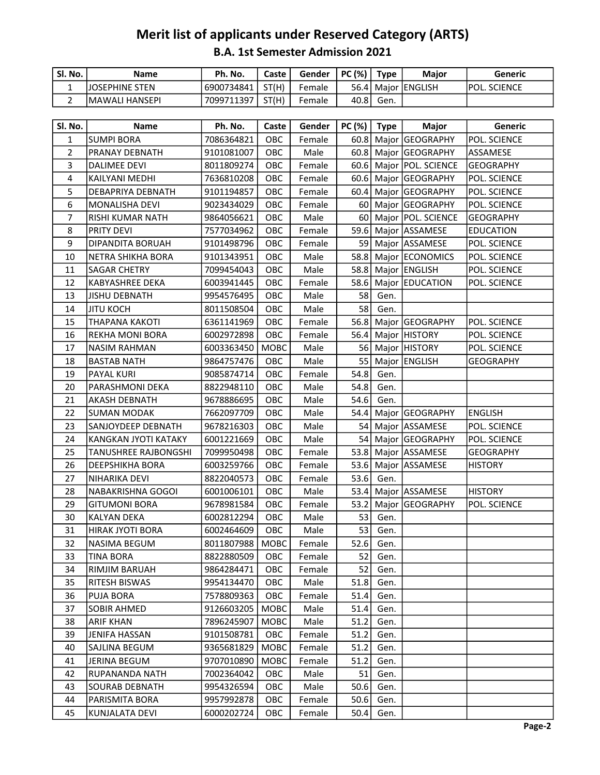## B.A. 1st Semester Admission 2021 Merit list of applicants under Reserved Category (ARTS)

| Sl. No. | Name                   | Ph. No.    | Caste | Gender | PC (%) | <b>Type</b> | Maior                  | Generic       |
|---------|------------------------|------------|-------|--------|--------|-------------|------------------------|---------------|
|         | <b>IJOSEPHINE STEN</b> | 6900734841 | ST(H) | Female |        |             | 56.4   Major   ENGLISH | IPOL. SCIENCE |
| ∸       | <b>IMAWALI HANSEPI</b> | 7099711397 | ST(H) | Female | 40.8 l | Gen.        |                        |               |

| Sl. No.        | <b>Name</b>                 | Ph. No.          | Caste       | Gender | $PC$ (%)   Type |           | <b>Major</b>            | Generic          |
|----------------|-----------------------------|------------------|-------------|--------|-----------------|-----------|-------------------------|------------------|
| $\mathbf{1}$   | SUMPI BORA                  | 7086364821       | OBC         | Female |                 |           | 60.8 Major GEOGRAPHY    | POL. SCIENCE     |
| $\overline{2}$ | <b>PRANAY DEBNATH</b>       | 9101081007       | OBC         | Male   |                 |           | 60.8 Major GEOGRAPHY    | ASSAMESE         |
| 3              | <b>DALIMEE DEVI</b>         | 8011809274       | OBC         | Female |                 |           | 60.6 Major POL. SCIENCE | <b>GEOGRAPHY</b> |
| 4              | KAILYANI MEDHI              | 7636810208       | OBC         | Female |                 |           | 60.6 Major GEOGRAPHY    | POL. SCIENCE     |
| 5              | <b>DEBAPRIYA DEBNATH</b>    | 9101194857       | OBC         | Female |                 |           | 60.4 Major GEOGRAPHY    | POL. SCIENCE     |
| 6              | MONALISHA DEVI              | 9023434029       | OBC         | Female |                 |           | 60 Major GEOGRAPHY      | POL. SCIENCE     |
| $\overline{7}$ | RISHI KUMAR NATH            | 9864056621       | OBC         | Male   |                 |           | 60 Major POL. SCIENCE   | <b>GEOGRAPHY</b> |
| 8              | <b>PRITY DEVI</b>           | 7577034962       | OBC         | Female |                 |           | 59.6 Major ASSAMESE     | <b>EDUCATION</b> |
| 9              | <b>DIPANDITA BORUAH</b>     | 9101498796       | OBC         | Female |                 |           | 59 Major ASSAMESE       | POL. SCIENCE     |
| 10             | NETRA SHIKHA BORA           | 9101343951       | OBC         | Male   |                 |           | 58.8 Major ECONOMICS    | POL. SCIENCE     |
| 11             | <b>SAGAR CHETRY</b>         | 7099454043       | OBC         | Male   |                 |           | 58.8 Major ENGLISH      | POL. SCIENCE     |
| 12             | KABYASHREE DEKA             | 6003941445       | OBC         | Female |                 |           | 58.6 Major EDUCATION    | POL. SCIENCE     |
| 13             | <b>JISHU DEBNATH</b>        | 9954576495       | OBC         | Male   |                 | 58 Gen.   |                         |                  |
| 14             | <b>JITU KOCH</b>            | 8011508504       | OBC         | Male   | 58              | Gen.      |                         |                  |
| 15             | <b>THAPANA KAKOTI</b>       | 6361141969       | OBC         | Female |                 |           | 56.8 Major GEOGRAPHY    | POL. SCIENCE     |
| 16             | <b>REKHA MONI BORA</b>      | 6002972898       | OBC         | Female |                 |           | 56.4 Major HISTORY      | POL. SCIENCE     |
| 17             | <b>NASIM RAHMAN</b>         | 6003363450       | <b>MOBC</b> | Male   |                 |           | 56 Major HISTORY        | POL. SCIENCE     |
| 18             | <b>BASTAB NATH</b>          | 9864757476       | OBC         | Male   |                 |           | 55 Major ENGLISH        | <b>GEOGRAPHY</b> |
| 19             | <b>PAYAL KURI</b>           | 9085874714       | OBC         | Female | 54.8            | Gen.      |                         |                  |
| 20             | PARASHMONI DEKA             | 8822948110       | OBC         | Male   | 54.8            | Gen.      |                         |                  |
| 21             | AKASH DEBNATH               | 9678886695       | OBC         | Male   | 54.6            | Gen.      |                         |                  |
| 22             | <b>SUMAN MODAK</b>          | 7662097709       | OBC         | Male   |                 |           | 54.4 Major GEOGRAPHY    | <b>ENGLISH</b>   |
| 23             | SANJOYDEEP DEBNATH          | 9678216303       | OBC         | Male   |                 |           | 54   Major   ASSAMESE   | POL. SCIENCE     |
| 24             | KANGKAN JYOTI KATAKY        | 6001221669       | OBC         | Male   |                 |           | 54 Major GEOGRAPHY      | POL. SCIENCE     |
| 25             | <b>TANUSHREE RAJBONGSHI</b> | 7099950498       | OBC         | Female |                 |           | 53.8 Major ASSAMESE     | <b>GEOGRAPHY</b> |
| 26             | DEEPSHIKHA BORA             | 6003259766       | OBC         | Female |                 |           | 53.6 Major ASSAMESE     | <b>HISTORY</b>   |
| 27             | NIHARIKA DEVI               | 8822040573       | OBC         | Female | 53.6            | Gen.      |                         |                  |
| 28             | NABAKRISHNA GOGOI           | 6001006101       | OBC         | Male   |                 |           | 53.4 Major ASSAMESE     | <b>HISTORY</b>   |
| 29             | <b>GITUMONI BORA</b>        | 9678981584       | OBC         | Female | 53.2            |           | Major GEOGRAPHY         | POL. SCIENCE     |
| 30             | <b>KALYAN DEKA</b>          | 6002812294       | OBC         | Male   | 53              | Gen.      |                         |                  |
| 31             | HIRAK JYOTI BORA            | 6002464609       | OBC         | Male   | 53              | Gen.      |                         |                  |
| 32             | <b>NASIMA BEGUM</b>         | 8011807988       | <b>MOBC</b> | Female | 52.6            | Gen.      |                         |                  |
| 33             | <b>TINA BORA</b>            | 8822880509   OBC |             | Female |                 | $52$ Gen. |                         |                  |
| 34             | RIMJIM BARUAH               | 9864284471       | OBC         | Female | 52              | Gen.      |                         |                  |
| 35             | <b>RITESH BISWAS</b>        | 9954134470       | OBC         | Male   | 51.8            | Gen.      |                         |                  |
| 36             | <b>PUJA BORA</b>            | 7578809363       | OBC         | Female | 51.4            | Gen.      |                         |                  |
| 37             | <b>SOBIR AHMED</b>          | 9126603205       | MOBC        | Male   | 51.4            | Gen.      |                         |                  |
| 38             | <b>ARIF KHAN</b>            | 7896245907       | MOBC        | Male   | 51.2            | Gen.      |                         |                  |
| 39             | JENIFA HASSAN               | 9101508781       | OBC         | Female | 51.2            | Gen.      |                         |                  |
| 40             | SAJLINA BEGUM               | 9365681829       | <b>MOBC</b> | Female | 51.2            | Gen.      |                         |                  |
| 41             | JERINA BEGUM                | 9707010890       | MOBC        | Female | 51.2            | Gen.      |                         |                  |
| 42             | RUPANANDA NATH              | 7002364042       | OBC         | Male   | 51              | Gen.      |                         |                  |
| 43             | SOURAB DEBNATH              | 9954326594       | OBC         | Male   | 50.6            | Gen.      |                         |                  |
| 44             | PARISMITA BORA              | 9957992878       | <b>OBC</b>  | Female | 50.6            | Gen.      |                         |                  |
| 45             | KUNJALATA DEVI              | 6000202724       | OBC         | Female | 50.4            | Gen.      |                         |                  |